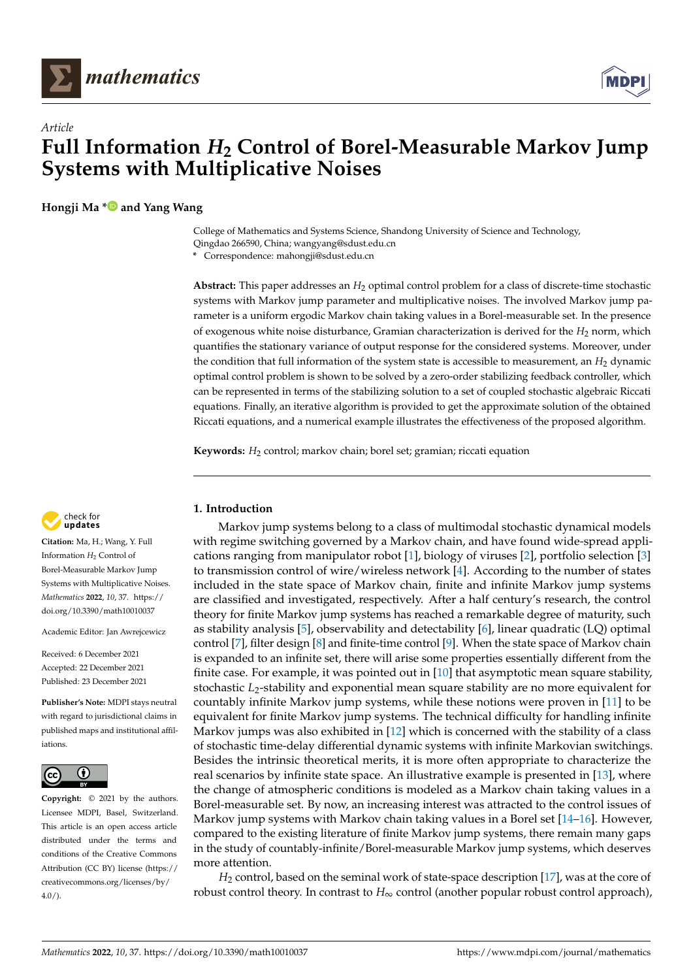



**Hongji Ma [\\*](https://orcid.org/0000-0001-5174-4710) and Yang Wang**

College of Mathematics and Systems Science, Shandong University of Science and Technology, Qingdao 266590, China; wangyang@sdust.edu.cn

**\*** Correspondence: mahongji@sdust.edu.cn

**Abstract:** This paper addresses an *H*<sup>2</sup> optimal control problem for a class of discrete-time stochastic systems with Markov jump parameter and multiplicative noises. The involved Markov jump parameter is a uniform ergodic Markov chain taking values in a Borel-measurable set. In the presence of exogenous white noise disturbance, Gramian characterization is derived for the *H*<sup>2</sup> norm, which quantifies the stationary variance of output response for the considered systems. Moreover, under the condition that full information of the system state is accessible to measurement, an *H*<sub>2</sub> dynamic optimal control problem is shown to be solved by a zero-order stabilizing feedback controller, which can be represented in terms of the stabilizing solution to a set of coupled stochastic algebraic Riccati equations. Finally, an iterative algorithm is provided to get the approximate solution of the obtained Riccati equations, and a numerical example illustrates the effectiveness of the proposed algorithm.

**Keywords:** *H*<sup>2</sup> control; markov chain; borel set; gramian; riccati equation



**Citation:** Ma, H.; Wang, Y. Full Information  $H_2$  Control of Borel-Measurable Markov Jump Systems with Multiplicative Noises. *Mathematics* **2022**, *10*, 37. [https://](https://doi.org/10.3390/math10010037) [doi.org/10.3390/math10010037](https://doi.org/10.3390/math10010037)

Academic Editor: Jan Awrejcewicz

Received: 6 December 2021 Accepted: 22 December 2021 Published: 23 December 2021

**Publisher's Note:** MDPI stays neutral with regard to jurisdictional claims in published maps and institutional affiliations.



**Copyright:** © 2021 by the authors. Licensee MDPI, Basel, Switzerland. This article is an open access article distributed under the terms and conditions of the Creative Commons Attribution (CC BY) license [\(https://](https://creativecommons.org/licenses/by/4.0/) [creativecommons.org/licenses/by/](https://creativecommons.org/licenses/by/4.0/)  $4.0/$ ).

# **1. Introduction**

Markov jump systems belong to a class of multimodal stochastic dynamical models with regime switching governed by a Markov chain, and have found wide-spread applications ranging from manipulator robot [\[1\]](#page-12-0), biology of viruses [\[2\]](#page-12-1), portfolio selection [\[3\]](#page-12-2) to transmission control of wire/wireless network [\[4\]](#page-12-3). According to the number of states included in the state space of Markov chain, finite and infinite Markov jump systems are classified and investigated, respectively. After a half century's research, the control theory for finite Markov jump systems has reached a remarkable degree of maturity, such as stability analysis [\[5\]](#page-12-4), observability and detectability [\[6\]](#page-12-5), linear quadratic (LQ) optimal control [\[7\]](#page-12-6), filter design [\[8\]](#page-12-7) and finite-time control [\[9\]](#page-12-8). When the state space of Markov chain is expanded to an infinite set, there will arise some properties essentially different from the finite case. For example, it was pointed out in [\[10\]](#page-12-9) that asymptotic mean square stability, stochastic *L*2-stability and exponential mean square stability are no more equivalent for countably infinite Markov jump systems, while these notions were proven in [\[11\]](#page-12-10) to be equivalent for finite Markov jump systems. The technical difficulty for handling infinite Markov jumps was also exhibited in [\[12\]](#page-12-11) which is concerned with the stability of a class of stochastic time-delay differential dynamic systems with infinite Markovian switchings. Besides the intrinsic theoretical merits, it is more often appropriate to characterize the real scenarios by infinite state space. An illustrative example is presented in [\[13\]](#page-12-12), where the change of atmospheric conditions is modeled as a Markov chain taking values in a Borel-measurable set. By now, an increasing interest was attracted to the control issues of Markov jump systems with Markov chain taking values in a Borel set  $[14–16]$  $[14–16]$ . However, compared to the existing literature of finite Markov jump systems, there remain many gaps in the study of countably-infinite/Borel-measurable Markov jump systems, which deserves more attention.

*H*<sup>2</sup> control, based on the seminal work of state-space description [\[17\]](#page-12-15), was at the core of robust control theory. In contrast to *H*∞ control (another popular robust control approach),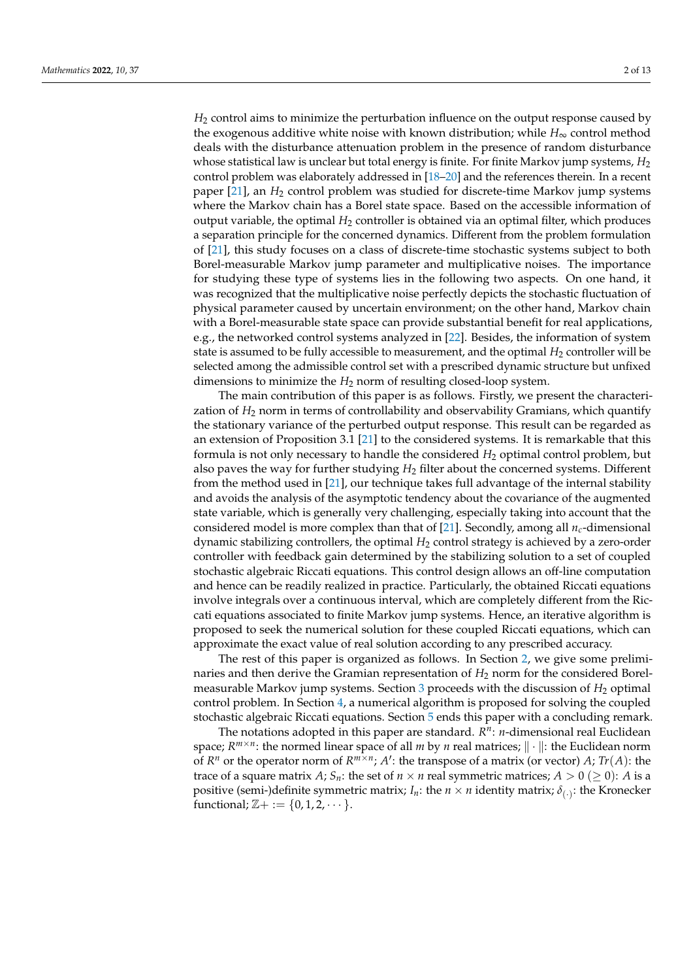*H*<sup>2</sup> control aims to minimize the perturbation influence on the output response caused by the exogenous additive white noise with known distribution; while *H*∞ control method deals with the disturbance attenuation problem in the presence of random disturbance whose statistical law is unclear but total energy is finite. For finite Markov jump systems, *H*<sub>2</sub> control problem was elaborately addressed in [\[18–](#page-12-16)[20\]](#page-12-17) and the references therein. In a recent paper [\[21\]](#page-12-18), an *H*<sup>2</sup> control problem was studied for discrete-time Markov jump systems where the Markov chain has a Borel state space. Based on the accessible information of output variable, the optimal *H*<sub>2</sub> controller is obtained via an optimal filter, which produces a separation principle for the concerned dynamics. Different from the problem formulation of [\[21\]](#page-12-18), this study focuses on a class of discrete-time stochastic systems subject to both Borel-measurable Markov jump parameter and multiplicative noises. The importance for studying these type of systems lies in the following two aspects. On one hand, it was recognized that the multiplicative noise perfectly depicts the stochastic fluctuation of physical parameter caused by uncertain environment; on the other hand, Markov chain with a Borel-measurable state space can provide substantial benefit for real applications, e.g., the networked control systems analyzed in [\[22\]](#page-12-19). Besides, the information of system state is assumed to be fully accessible to measurement, and the optimal  $H_2$  controller will be selected among the admissible control set with a prescribed dynamic structure but unfixed dimensions to minimize the  $H_2$  norm of resulting closed-loop system.

The main contribution of this paper is as follows. Firstly, we present the characterization of *H*<sup>2</sup> norm in terms of controllability and observability Gramians, which quantify the stationary variance of the perturbed output response. This result can be regarded as an extension of Proposition 3.1 [\[21\]](#page-12-18) to the considered systems. It is remarkable that this formula is not only necessary to handle the considered  $H_2$  optimal control problem, but also paves the way for further studying *H*<sup>2</sup> filter about the concerned systems. Different from the method used in [\[21\]](#page-12-18), our technique takes full advantage of the internal stability and avoids the analysis of the asymptotic tendency about the covariance of the augmented state variable, which is generally very challenging, especially taking into account that the considered model is more complex than that of [\[21\]](#page-12-18). Secondly, among all *nc*-dimensional dynamic stabilizing controllers, the optimal *H*<sup>2</sup> control strategy is achieved by a zero-order controller with feedback gain determined by the stabilizing solution to a set of coupled stochastic algebraic Riccati equations. This control design allows an off-line computation and hence can be readily realized in practice. Particularly, the obtained Riccati equations involve integrals over a continuous interval, which are completely different from the Riccati equations associated to finite Markov jump systems. Hence, an iterative algorithm is proposed to seek the numerical solution for these coupled Riccati equations, which can approximate the exact value of real solution according to any prescribed accuracy.

The rest of this paper is organized as follows. In Section [2,](#page-2-0) we give some preliminaries and then derive the Gramian representation of *H*<sup>2</sup> norm for the considered Borelmeasurable Markov jump systems. Section  $3$  proceeds with the discussion of  $H_2$  optimal control problem. In Section [4,](#page-9-0) a numerical algorithm is proposed for solving the coupled stochastic algebraic Riccati equations. Section [5](#page-11-0) ends this paper with a concluding remark.

The notations adopted in this paper are standard.  $R^n$ : *n*-dimensional real Euclidean space;  $R^{m \times n}$ : the normed linear space of all *m* by *n* real matrices;  $\|\cdot\|$ : the Euclidean norm of  $R^n$  or the operator norm of  $R^{m \times n}$ ;  $A'$ : the transpose of a matrix (or vector)  $A$ ;  $Tr(A)$ : the trace of a square matrix *A*;  $S_n$ : the set of  $n \times n$  real symmetric matrices;  $A > 0$  ( $\geq 0$ ): *A* is a positive (semi-)definite symmetric matrix;  $I_n$ : the  $n \times n$  identity matrix;  $\delta_{(\cdot)}$ : the Kronecker functional;  $\mathbb{Z} + := \{0, 1, 2, \dots\}.$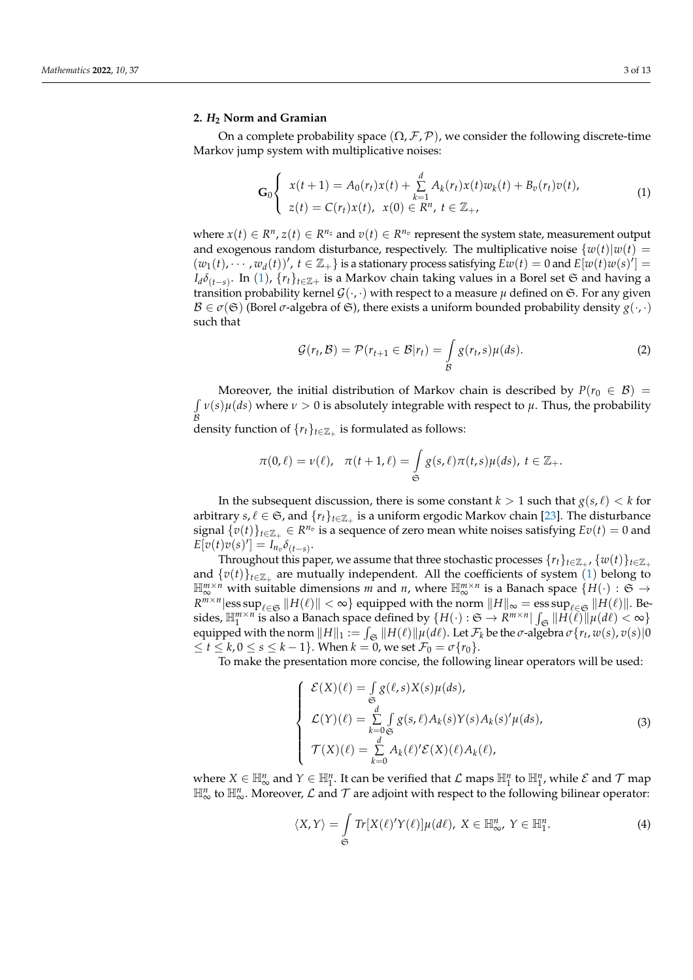#### <span id="page-2-0"></span>**2.** *H***<sup>2</sup> Norm and Gramian**

On a complete probability space  $(\Omega, \mathcal{F}, \mathcal{P})$ , we consider the following discrete-time Markov jump system with multiplicative noises:

<span id="page-2-1"></span>
$$
\mathbf{G}_0 \begin{cases} x(t+1) = A_0(r_t)x(t) + \sum_{k=1}^d A_k(r_t)x(t)w_k(t) + B_v(r_t)v(t), \\ z(t) = C(r_t)x(t), \ x(0) \in \mathbb{R}^n, \ t \in \mathbb{Z}_+, \end{cases}
$$
(1)

where  $x(t) \in R^n$ ,  $z(t) \in R^{n_z}$  and  $v(t) \in R^{n_v}$  represent the system state, measurement output and exogenous random disturbance, respectively. The multiplicative noise  $\{w(t)|w(t) =$  $(w_1(t), \dots, w_d(t))'$ ,  $t \in \mathbb{Z}_+$  is a stationary process satisfying  $\overline{E}w(t) = 0$  and  $\overline{E}[w(t)w(s)] = 0$ *I*<sub>d</sub> $\delta$ <sub>(</sub>*t*−*s*). In ([1](#page-2-1)), {*r*<sup>*t*</sup>}*t*∈Z+ is a Markov chain taking values in a Borel set <del>S</del> and having a transition probability kernel  $\mathcal{G}(\cdot,\cdot)$  with respect to a measure  $\mu$  defined on  $\mathfrak{S}$ . For any given  $\mathcal{B} \in \sigma(\mathfrak{S})$  (Borel  $\sigma$ -algebra of  $\mathfrak{S}$ ), there exists a uniform bounded probability density  $g(\cdot,\cdot)$ such that

<span id="page-2-3"></span>
$$
\mathcal{G}(r_t, \mathcal{B}) = \mathcal{P}(r_{t+1} \in \mathcal{B}|r_t) = \int_{\mathcal{B}} g(r_t, s) \mu(ds). \tag{2}
$$

Moreover, the initial distribution of Markov chain is described by  $P(r_0 \in \mathcal{B}) =$  $\int v(s) \mu(ds)$  where  $\nu > 0$  is absolutely integrable with respect to  $\mu$ . Thus, the probability *B*<br>density function of {*r<sub>t</sub>*}<sub>*t*∈ℤ<sub>+</sub> is formulated as follows:</sub>

$$
\pi(0,\ell)=\nu(\ell), \quad \pi(t+1,\ell)=\int\limits_{\mathfrak{S}}g(s,\ell)\pi(t,s)\mu(ds),\ t\in\mathbb{Z}_+.
$$

In the subsequent discussion, there is some constant  $k > 1$  such that  $g(s, \ell) < k$  for arbitrary  $s, \ell \in \mathfrak{S}$ , and  $\{r_t\}_{t \in \mathbb{Z}_+}$  is a uniform ergodic Markov chain [\[23\]](#page-12-20). The disturbance signal  $\{v(t)\}_{t\in\mathbb{Z}_+}\in R^{n_v}$  is a sequence of zero mean white noises satisfying  $Ev(t)=0$  and  $E[v(t)v(s)'] = I_{n_v} \delta_{(t-s)}.$ 

Throughout this paper, we assume that three stochastic processes  $\{r_t\}_{t\in\mathbb{Z}_+}$ ,  $\{w(t)\}_{t\in\mathbb{Z}_+}$ and  $\{v(t)\}_{t\in\mathbb{Z}_+}$  are mutually independent. All the coefficients of system ([1](#page-2-1)) belong to  $\mathbb{H}_{\infty}^{m \times n}$  with suitable dimensions *m* and *n*, where  $\mathbb{H}_{\infty}^{m \times n}$  is a Banach space  $\{H(\cdot): \mathfrak{S} \to \mathbb{H}_{\infty}^{m}$  $R^{m \times n}$ |ess sup $_{\ell \in \mathfrak{S}}$   $||H(\ell)|| < \infty$ } equipped with the norm  $||H||_{\infty} = \operatorname{ess} \operatorname{sup}_{\ell \in \mathfrak{S}} ||H(\ell)||$ . Besides,  $\mathbb{H}^{m \times n}_{1}$  is also a Banach space defined by  $\{H(\cdot): \mathfrak{S} \to R^{m \times n} | \int_{\mathfrak{S}} ||\hat{H}(\ell)|| \mu(d\ell) < \infty\}$ equipped with the norm  $||H||_1 := \int_{\mathfrak{S}} ||H(\ell)||\mu(d\ell)$ . Let  $\mathcal{F}_k$  be the *σ*-algebra  $\sigma\{r_t, w(s), v(s)|0\}$  $≤ t ≤ k, 0 ≤ s ≤ k - 1$ }. When  $k = 0$ , we set  $\mathcal{F}_0 = \sigma\{r_0\}$ .

To make the presentation more concise, the following linear operators will be used:

$$
\begin{cases}\n\mathcal{E}(X)(\ell) = \int_{\mathfrak{S}} g(\ell, s) X(s) \mu(ds), \\
\mathcal{L}(Y)(\ell) = \sum_{k=0}^{d} \int_{\mathfrak{S}} g(s, \ell) A_k(s) Y(s) A_k(s)' \mu(ds), \\
\mathcal{T}(X)(\ell) = \sum_{k=0}^{d} A_k(\ell)' \mathcal{E}(X)(\ell) A_k(\ell),\n\end{cases}
$$
\n(3)

where  $X \in \mathbb{H}_{\infty}^n$  and  $Y \in \mathbb{H}_1^n$ . It can be verified that  $\mathcal L$  maps  $\mathbb{H}_1^n$  to  $\mathbb{H}_1^n$ , while  $\mathcal E$  and  $\mathcal T$  map  $\mathbb{H}^n_\infty$  to  $\mathbb{H}^n_\infty$ . Moreover,  $\mathcal L$  and  $\mathcal T$  are adjoint with respect to the following bilinear operator:

<span id="page-2-2"></span>
$$
\langle X, Y \rangle = \int_{\mathfrak{S}} Tr[X(\ell)'Y(\ell)]\mu(d\ell), \ X \in \mathbb{H}^n_{\infty}, \ Y \in \mathbb{H}^n_1.
$$
 (4)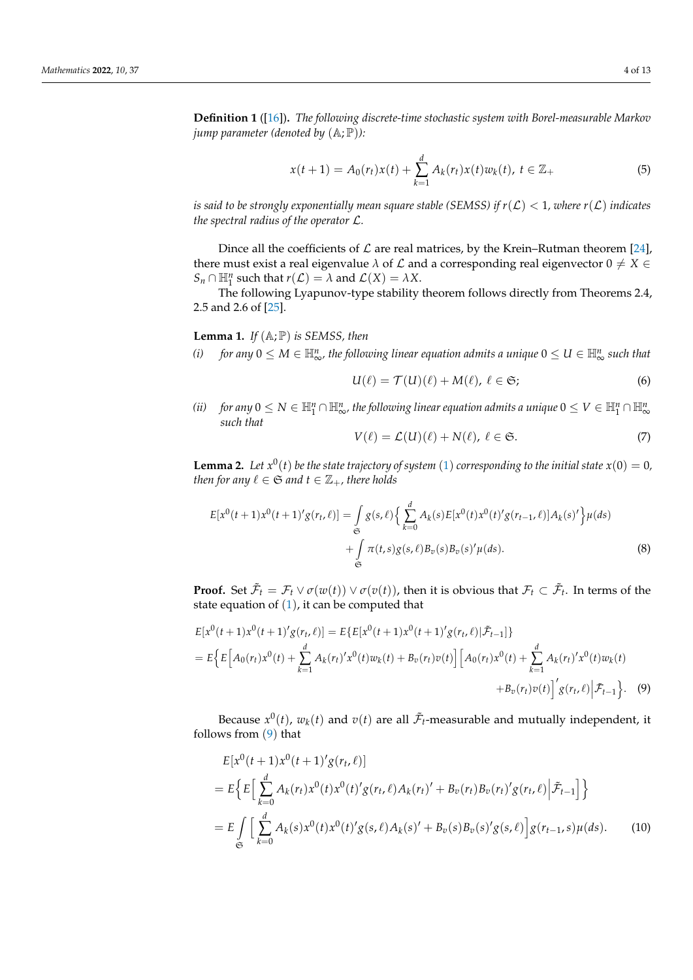**Definition 1** ([\[16\]](#page-12-14))**.** *The following discrete-time stochastic system with Borel-measurable Markov jump parameter (denoted by*  $(A; \mathbb{P})$ *):* 

$$
x(t+1) = A_0(r_t)x(t) + \sum_{k=1}^d A_k(r_t)x(t)w_k(t), \ t \in \mathbb{Z}_+
$$
 (5)

*is said to be strongly exponentially mean square stable (SEMSS) if*  $r(\mathcal{L}) < 1$ , where  $r(\mathcal{L})$  indicates *the spectral radius of the operator* L*.*

Dince all the coefficients of  $\mathcal L$  are real matrices, by the Krein–Rutman theorem [\[24\]](#page-12-21), there must exist a real eigenvalue  $\lambda$  of  $\mathcal L$  and a corresponding real eigenvector  $0 \neq X \in$  $S_n \cap \mathbb{H}_1^n$  such that  $r(\mathcal{L}) = \lambda$  and  $\mathcal{L}(X) = \lambda X$ .

The following Lyapunov-type stability theorem follows directly from Theorems 2.4, 2.5 and 2.6 of [\[25\]](#page-12-22).

**Lemma 1.** *If*  $(A; P)$  *is SEMSS, then* 

*(i) for any*  $0 \leq M \in \mathbb{H}_{\infty}^n$ , the following linear equation admits a unique  $0 \leq U \in \mathbb{H}_{\infty}^n$  such that

$$
U(\ell) = \mathcal{T}(U)(\ell) + M(\ell), \ \ell \in \mathfrak{S};\tag{6}
$$

*(ii) for any*  $0 \leq N \in \mathbb{H}^n_1 \cap \mathbb{H}^n_\infty$ , the following linear equation admits a unique  $0 \leq V \in \mathbb{H}^n_1 \cap \mathbb{H}^n_\infty$ *such that*

$$
V(\ell) = \mathcal{L}(U)(\ell) + N(\ell), \ \ell \in \mathfrak{S}.\tag{7}
$$

**Lemma 2.** Let  $x^0(t)$  be the state trajectory of system ([1](#page-2-1)) corresponding to the initial state  $x(0) = 0$ , *then for any*  $\ell \in \mathfrak{S}$  *and*  $t \in \mathbb{Z}_+$ *, there holds* 

<span id="page-3-2"></span>
$$
E[x^{0}(t+1)x^{0}(t+1)'g(r_{t},\ell)] = \int_{\mathfrak{S}} g(s,\ell) \Big\{ \sum_{k=0}^{d} A_{k}(s) E[x^{0}(t)x^{0}(t)'g(r_{t-1},\ell)]A_{k}(s)' \Big\} \mu(ds) + \int_{\mathfrak{S}} \pi(t,s)g(s,\ell)B_{v}(s)B_{v}(s)'\mu(ds).
$$
\n(8)

**Proof.** Set  $\tilde{\mathcal{F}}_t = \mathcal{F}_t \vee \sigma(w(t)) \vee \sigma(v(t))$ , then it is obvious that  $\mathcal{F}_t \subset \tilde{\mathcal{F}}_t$ . In terms of the state equation of  $(1)$  $(1)$  $(1)$ , it can be computed that

<span id="page-3-0"></span>
$$
E[x^{0}(t+1)x^{0}(t+1)'g(r_{t},\ell)] = E\{E[x^{0}(t+1)x^{0}(t+1)'g(r_{t},\ell)|\tilde{\mathcal{F}}_{t-1}]\}
$$
  
= 
$$
E\{E[A_{0}(r_{t})x^{0}(t) + \sum_{k=1}^{d} A_{k}(r_{t})'x^{0}(t)w_{k}(t) + B_{v}(r_{t})v(t)] [A_{0}(r_{t})x^{0}(t) + \sum_{k=1}^{d} A_{k}(r_{t})'x^{0}(t)w_{k}(t) + B_{v}(r_{t})v(t)]'g(r_{t},\ell)|\tilde{\mathcal{F}}_{t-1}\}. (9)
$$

Because  $x^0(t)$ ,  $w_k(t)$  and  $v(t)$  are all  $\tilde{\mathcal{F}}_t$ -measurable and mutually independent, it follows from ([9](#page-3-0)) that

<span id="page-3-1"></span>
$$
E[x^{0}(t+1)x^{0}(t+1)'g(r_{t},\ell)]
$$
\n
$$
= E\Big\{E\Big[\sum_{k=0}^{d} A_{k}(r_{t})x^{0}(t)x^{0}(t)'g(r_{t},\ell)A_{k}(r_{t})' + B_{v}(r_{t})B_{v}(r_{t})'g(r_{t},\ell)\Big|\tilde{\mathcal{F}}_{t-1}\Big]\Big\}
$$
\n
$$
= E\int_{\mathfrak{S}}\Big[\sum_{k=0}^{d} A_{k}(s)x^{0}(t)x^{0}(t)'g(s,\ell)A_{k}(s)' + B_{v}(s)B_{v}(s)'g(s,\ell)\Big]g(r_{t-1},s)\mu(ds). \tag{10}
$$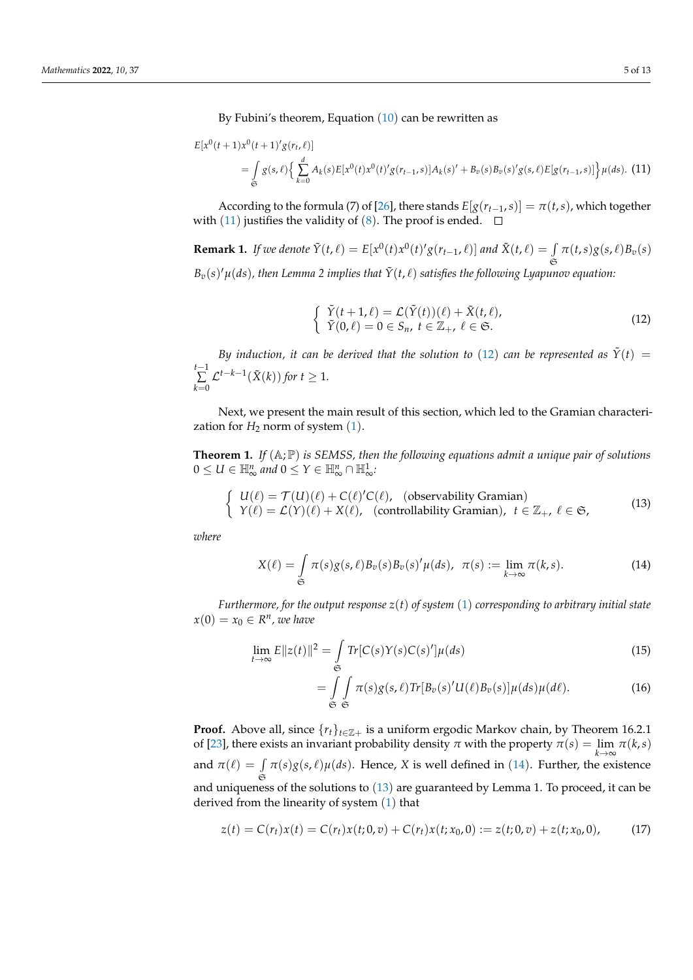By Fubini's theorem, Equation  $(10)$  $(10)$  $(10)$  can be rewritten as

<span id="page-4-0"></span>
$$
E[x^{0}(t+1)x^{0}(t+1)'g(r_{t},\ell)]
$$
\n
$$
= \int_{\mathfrak{S}} g(s,\ell) \Big\{ \sum_{k=0}^{d} A_{k}(s) E[x^{0}(t)x^{0}(t)'g(r_{t-1},s)]A_{k}(s)' + B_{v}(s)B_{v}(s)'g(s,\ell)E[g(r_{t-1},s)]\Big\} \mu(ds). \tag{11}
$$

According to the formula (7) of [\[26\]](#page-12-23), there stands  $E[g(r_{t-1}, s)] = \pi(t, s)$ , which together with ([11](#page-4-0)) justifies the validity of ([8](#page-3-2)). The proof is ended.  $\Box$ 

**Remark 1.** If we denote 
$$
\tilde{Y}(t,\ell) = E[x^0(t)x^0(t)'g(r_{t-1},\ell)]
$$
 and  $\tilde{X}(t,\ell) = \int_{\tilde{\Theta}} \pi(t,s)g(s,\ell)B_v(s)$   
\n $B_v(s)'\mu(ds)$ , then Lemma 2 implies that  $\tilde{Y}(t,\ell)$  satisfies the following Lyapunov equation:

<span id="page-4-1"></span>
$$
\begin{cases}\n\tilde{Y}(t+1,\ell) = \mathcal{L}(\tilde{Y}(t))(\ell) + \tilde{X}(t,\ell), \\
\tilde{Y}(0,\ell) = 0 \in S_n, \ t \in \mathbb{Z}_+, \ \ell \in \mathfrak{S}.\n\end{cases}
$$
\n(12)

*By induction, it can be derived that the solution to* ([12](#page-4-1)) *can be represented as*  $\tilde{Y}(t)$  = *t*−1 ∑ *k*=0  $\mathcal{L}^{t-k-1}(\tilde{X}(k))$  for  $t \geq 1$ *.* 

Next, we present the main result of this section, which led to the Gramian characterization for  $H_2$  norm of system  $(1)$  $(1)$  $(1)$ .

**Theorem 1.** *If* (A; P) *is SEMSS, then the following equations admit a unique pair of solutions*  $0 \le U \in \mathbb{H}_{\infty}^n$  and  $0 \le Y \in \mathbb{H}_{\infty}^n \cap \mathbb{H}_{\infty}^1$ .

<span id="page-4-3"></span>
$$
\begin{cases}\nU(\ell) = \mathcal{T}(U)(\ell) + C(\ell)'\mathcal{C}(\ell), \quad \text{(observability Gramian)} \\
Y(\ell) = \mathcal{L}(Y)(\ell) + X(\ell), \quad \text{(controllability Gramian)}, \ \ t \in \mathbb{Z}_+, \ \ell \in \mathfrak{S},\n\end{cases}
$$
\n(13)

*where*

<span id="page-4-2"></span>
$$
X(\ell) = \int_{\mathfrak{S}} \pi(s) g(s, \ell) B_v(s) B_v(s)' \mu(ds), \quad \pi(s) := \lim_{k \to \infty} \pi(k, s).
$$
 (14)

*Furthermore, for the output response z*(*t*) *of system* ([1](#page-2-1)) *corresponding to arbitrary initial state*  $x(0) = x_0 \in R^n$ , we have

<span id="page-4-5"></span>
$$
\lim_{t \to \infty} E||z(t)||^2 = \int_{\mathfrak{S}} Tr[C(s)Y(s)C(s)']\mu(ds)
$$
\n(15)

$$
= \int_{\mathfrak{S}} \int_{\mathfrak{S}} \pi(s) g(s,\ell) \text{Tr}[B_v(s)' U(\ell) B_v(s)] \mu(ds) \mu(d\ell). \tag{16}
$$

**Proof.** Above all, since  $\{r_t\}_{t \in \mathbb{Z}+}$  is a uniform ergodic Markov chain, by Theorem 16.2.1 of [\[23\]](#page-12-20), there exists an invariant probability density  $\pi$  with the property  $\pi(s) = \lim_{k \to \infty} \pi(k, s)$ and  $\pi(\ell) = \int$  $\mathfrak S$  $\pi(s)g(s,\ell)\mu(ds)$ . Hence, *X* is well defined in ([14](#page-4-2)). Further, the existence and uniqueness of the solutions to ([13](#page-4-3)) are guaranteed by Lemma 1. To proceed, it can be derived from the linearity of system ([1](#page-2-1)) that

<span id="page-4-4"></span>
$$
z(t) = C(r_t)x(t) = C(r_t)x(t; 0, v) + C(r_t)x(t; x_0, 0) := z(t; 0, v) + z(t; x_0, 0),
$$
 (17)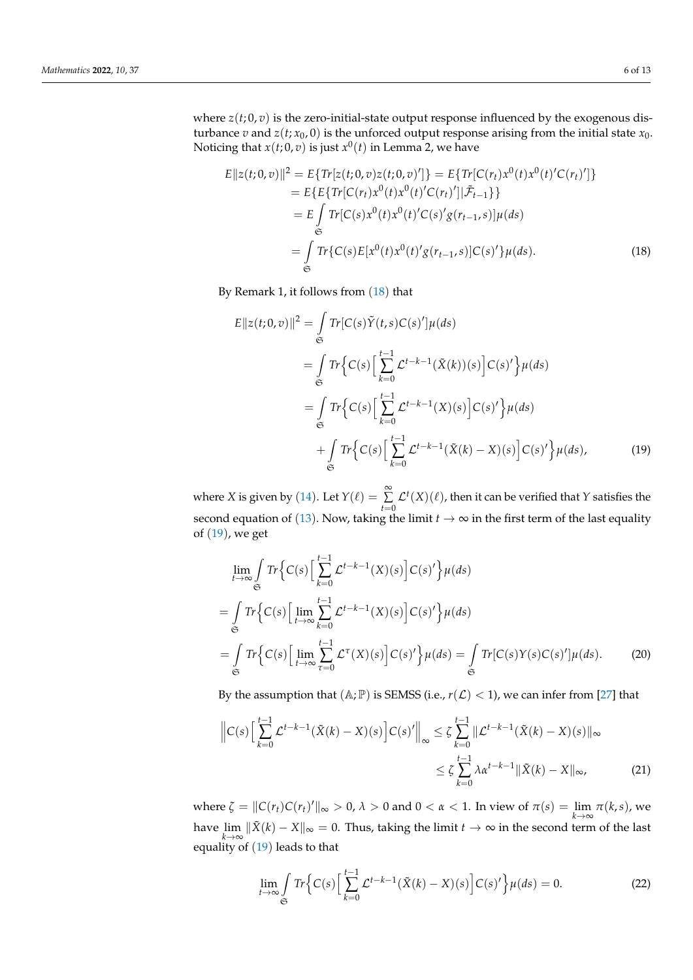where  $z(t; 0, v)$  is the zero-initial-state output response influenced by the exogenous disturbance *v* and *z*(*t*; *x*<sub>0</sub>, 0) is the unforced output response arising from the initial state *x*<sub>0</sub>. Noticing that  $x(t;0,v)$  is just  $x^0(t)$  in Lemma 2, we have

<span id="page-5-0"></span>
$$
E||z(t;0,v)||^2 = E\{Tr[z(t;0,v)z(t;0,v)']\} = E\{Tr[C(r_t)x^0(t)x^0(t)C(r_t)']\}
$$
  
\n
$$
= E\{E\{Tr[C(r_t)x^0(t)x^0(t)C(r_t)']|\tilde{\mathcal{F}}_{t-1}\}\}
$$
  
\n
$$
= E\int_{\mathfrak{S}} Tr[C(s)x^0(t)x^0(t)C(s)g(r_{t-1},s)]\mu(ds)
$$
  
\n
$$
= \int_{\mathfrak{S}} Tr\{C(s)E[x^0(t)x^0(t)g(r_{t-1},s)]C(s)'\}\mu(ds).
$$
 (18)

By Remark 1, it follows from ([18](#page-5-0)) that

<span id="page-5-1"></span>
$$
E||z(t;0,v)||^2 = \int_{\mathfrak{S}} Tr[C(s)\tilde{Y}(t,s)C(s)]\mu(ds)
$$
  
\n
$$
= \int_{\mathfrak{S}} Tr\Big\{C(s)\Big[\sum_{k=0}^{t-1} \mathcal{L}^{t-k-1}(\tilde{X}(k))(s)\Big]C(s)'\Big\}\mu(ds)
$$
  
\n
$$
= \int_{\mathfrak{S}} Tr\Big\{C(s)\Big[\sum_{k=0}^{t-1} \mathcal{L}^{t-k-1}(X)(s)\Big]C(s)'\Big\}\mu(ds)
$$
  
\n
$$
+ \int_{\mathfrak{S}} Tr\Big\{C(s)\Big[\sum_{k=0}^{t-1} \mathcal{L}^{t-k-1}(\tilde{X}(k)-X)(s)\Big]C(s)'\Big\}\mu(ds), \qquad (19)
$$

where *X* is given by ([14](#page-4-2)). Let  $Y(\ell) = \sum_{t=0}^{\infty}$  $\mathcal{L}^t(X)(\ell)$ , then it can be verified that *Y* satisfies the second equation of ([13](#page-4-3)). Now, taking the limit  $t \to \infty$  in the first term of the last equality of ([19](#page-5-1)), we get

<span id="page-5-2"></span>
$$
\lim_{t \to \infty} \int_{\mathfrak{S}} Tr \Big\{ C(s) \Big[ \sum_{k=0}^{t-1} \mathcal{L}^{t-k-1}(X)(s) \Big] C(s)' \Big\} \mu(ds)
$$
\n
$$
= \int_{\mathfrak{S}} Tr \Big\{ C(s) \Big[ \lim_{t \to \infty} \sum_{k=0}^{t-1} \mathcal{L}^{t-k-1}(X)(s) \Big] C(s)' \Big\} \mu(ds)
$$
\n
$$
= \int_{\mathfrak{S}} Tr \Big\{ C(s) \Big[ \lim_{t \to \infty} \sum_{\tau=0}^{t-1} \mathcal{L}^{\tau}(X)(s) \Big] C(s)' \Big\} \mu(ds) = \int_{\mathfrak{S}} Tr [C(s)Y(s)C(s)] \mu(ds). \tag{20}
$$

By the assumption that  $(A; \mathbb{P})$  is SEMSS (i.e.,  $r(\mathcal{L}) < 1$ ), we can infer from [\[27\]](#page-12-24) that

$$
\|C(s)\left[\sum_{k=0}^{t-1} \mathcal{L}^{t-k-1}(\tilde{X}(k) - X)(s)\right]C(s)'\|_{\infty} \le \zeta \sum_{k=0}^{t-1} \|\mathcal{L}^{t-k-1}(\tilde{X}(k) - X)(s)\|_{\infty}
$$
  

$$
\le \zeta \sum_{k=0}^{t-1} \lambda \alpha^{t-k-1} \|\tilde{X}(k) - X\|_{\infty},
$$
 (21)

where  $\zeta = \|C(r_t)C(r_t)'\|_{\infty} > 0$ ,  $\lambda > 0$  and  $0 < \alpha < 1$ . In view of  $\pi(s) = \lim_{k \to \infty} \pi(k, s)$ , we have  $\lim_{k\to\infty} \|\tilde{X}(k)-X\|_{\infty} = 0$ . Thus, taking the limit  $t\to\infty$  in the second term of the last equality of ([19](#page-5-1)) leads to that

<span id="page-5-3"></span>
$$
\lim_{t \to \infty} \int_{\mathfrak{S}} Tr \Big\{ C(s) \Big[ \sum_{k=0}^{t-1} \mathcal{L}^{t-k-1} (\tilde{X}(k) - X)(s) \Big] C(s)'\Big\} \mu(ds) = 0.
$$
 (22)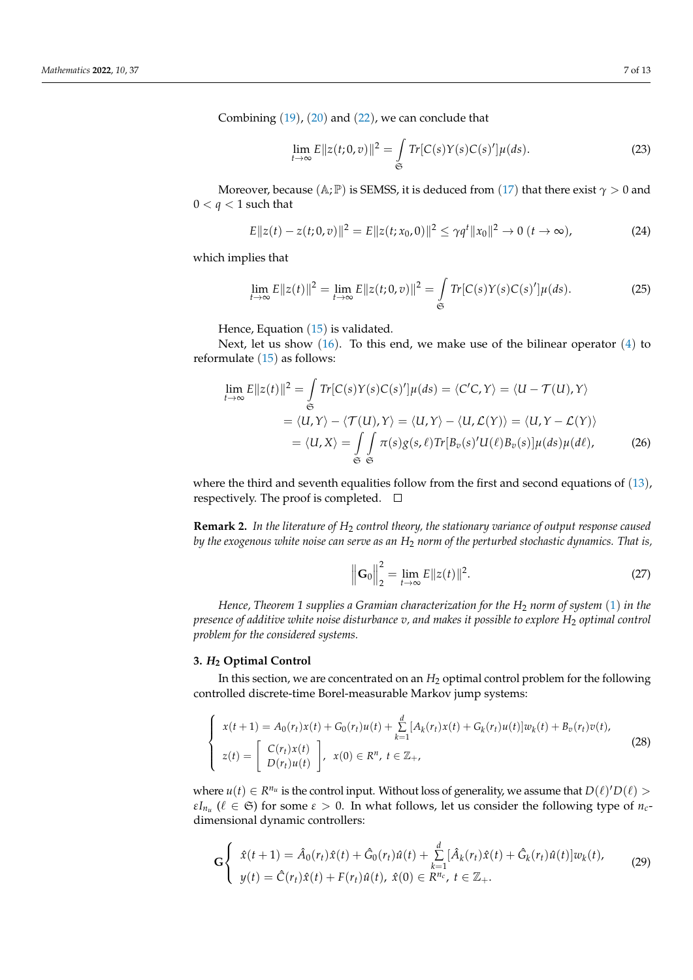Combining ([19](#page-5-1)), ([20](#page-5-2)) and ([22](#page-5-3)), we can conclude that

$$
\lim_{t \to \infty} E ||z(t; 0, v)||^2 = \int_{\mathfrak{S}} Tr[C(s)Y(s)C(s)']\mu(ds). \tag{23}
$$

Moreover, because ( $\mathbb{A}$ ;  $\mathbb{P}$ ) is SEMSS, it is deduced from ([17](#page-4-4)) that there exist  $\gamma > 0$  and  $0 < q < 1$  such that

$$
E||z(t) - z(t; 0, v)||^2 = E||z(t; x_0, 0)||^2 \le \gamma q^t ||x_0||^2 \to 0 \ (t \to \infty), \tag{24}
$$

which implies that

$$
\lim_{t \to \infty} E||z(t)||^2 = \lim_{t \to \infty} E||z(t;0,v)||^2 = \int_{\mathfrak{S}} Tr[C(s)Y(s)C(s)]\mu(ds).
$$
 (25)

Hence, Equation  $(15)$  $(15)$  $(15)$  is validated.

Next, let us show  $(16)$  $(16)$  $(16)$ . To this end, we make use of the bilinear operator  $(4)$  $(4)$  $(4)$  to reformulate  $(15)$  $(15)$  $(15)$  as follows:

$$
\lim_{t \to \infty} E||z(t)||^2 = \int_{\mathfrak{S}} Tr[C(s)Y(s)C(s)]\mu(ds) = \langle C'C, Y \rangle = \langle U - \mathcal{T}(U), Y \rangle
$$
  
=  $\langle U, Y \rangle - \langle \mathcal{T}(U), Y \rangle = \langle U, Y \rangle - \langle U, \mathcal{L}(Y) \rangle = \langle U, Y - \mathcal{L}(Y) \rangle$   
=  $\langle U, X \rangle = \int_{\mathfrak{S}} \int_{\mathfrak{S}} \pi(s)g(s, \ell)Tr[B_v(s)^\prime U(\ell)B_v(s)]\mu(ds)\mu(d\ell),$  (26)

where the third and seventh equalities follow from the first and second equations of ([13](#page-4-3)), respectively. The proof is completed.  $\square$ 

**Remark 2.** *In the literature of H*<sup>2</sup> *control theory, the stationary variance of output response caused by the exogenous white noise can serve as an H*<sup>2</sup> *norm of the perturbed stochastic dynamics. That is,*

$$
\left\| \mathbf{G}_0 \right\|_2^2 = \lim_{t \to \infty} E \| z(t) \|^2.
$$
 (27)

*Hence, Theorem 1 supplies a Gramian characterization for the H*<sup>2</sup> *norm of system* ([1](#page-2-1)) *in the presence of additive white noise disturbance v, and makes it possible to explore H*<sup>2</sup> *optimal control problem for the considered systems.*

# <span id="page-6-0"></span>**3.** *H***<sup>2</sup> Optimal Control**

In this section, we are concentrated on an  $H_2$  optimal control problem for the following controlled discrete-time Borel-measurable Markov jump systems:

<span id="page-6-2"></span>
$$
\begin{cases}\n x(t+1) = A_0(r_t)x(t) + G_0(r_t)u(t) + \sum_{k=1}^d [A_k(r_t)x(t) + G_k(r_t)u(t)]w_k(t) + B_v(r_t)v(t), \\
 z(t) = \begin{bmatrix}\n C(r_t)x(t) \\
 D(r_t)u(t)\n \end{bmatrix}, \quad x(0) \in \mathbb{R}^n, \ t \in \mathbb{Z}_+, \n\end{cases}
$$
\n(28)

where  $u(t) \in R^{n_u}$  is the control input. Without loss of generality, we assume that  $D(\ell)D(\ell)$ *εI*<sub>*nu*</sub> ( $\ell \in \mathfrak{S}$ ) for some  $\varepsilon > 0$ . In what follows, let us consider the following type of *n<sub>c</sub>*dimensional dynamic controllers:

<span id="page-6-1"></span>
$$
\mathbf{G}\begin{cases}\n\hat{x}(t+1) = \hat{A}_0(r_t)\hat{x}(t) + \hat{G}_0(r_t)\hat{u}(t) + \sum_{k=1}^d [\hat{A}_k(r_t)\hat{x}(t) + \hat{G}_k(r_t)\hat{u}(t)]w_k(t), \\
y(t) = \hat{C}(r_t)\hat{x}(t) + F(r_t)\hat{u}(t), \ \hat{x}(0) \in R^{n_c}, \ t \in \mathbb{Z}_+.\n\end{cases}
$$
\n(29)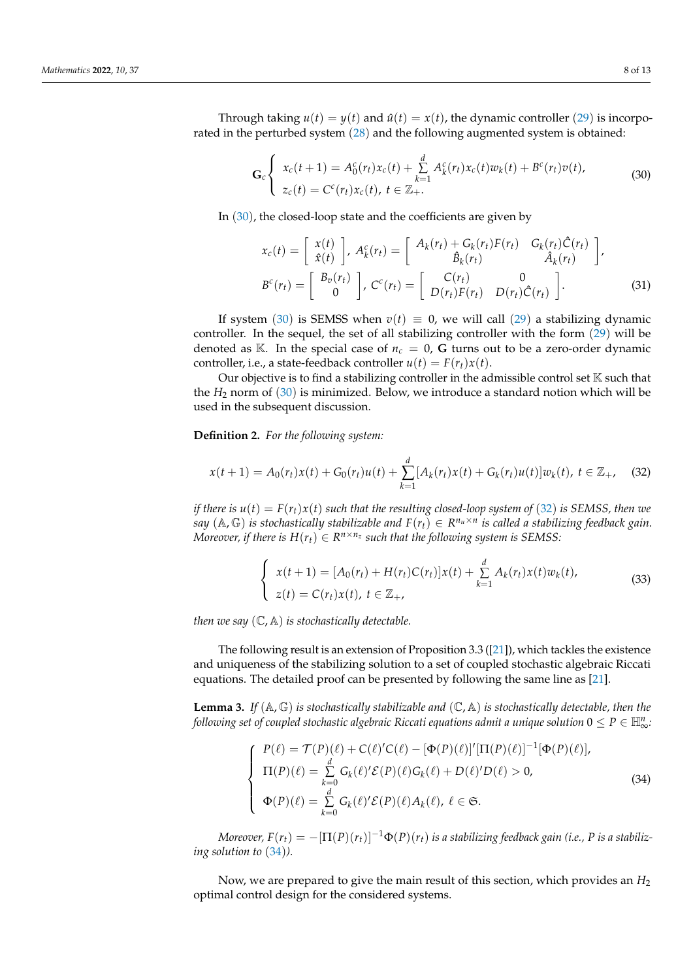Through taking  $u(t) = y(t)$  and  $\hat{u}(t) = x(t)$ , the dynamic controller ([29](#page-6-1)) is incorporated in the perturbed system ([28](#page-6-2)) and the following augmented system is obtained:

<span id="page-7-0"></span>
$$
\mathbf{G}_c \left\{ \begin{array}{l} x_c(t+1) = A_0^c(r_t)x_c(t) + \sum_{k=1}^d A_k^c(r_t)x_c(t)w_k(t) + B^c(r_t)v(t), \\ z_c(t) = C^c(r_t)x_c(t), \ t \in \mathbb{Z}_+. \end{array} \right. \tag{30}
$$

In ([30](#page-7-0)), the closed-loop state and the coefficients are given by

$$
x_c(t) = \begin{bmatrix} x(t) \\ \hat{x}(t) \end{bmatrix}, A_k^c(r_t) = \begin{bmatrix} A_k(r_t) + G_k(r_t)F(r_t) & G_k(r_t)\hat{C}(r_t) \\ \hat{B}_k(r_t) & \hat{A}_k(r_t) \end{bmatrix},
$$
  

$$
B^c(r_t) = \begin{bmatrix} B_v(r_t) \\ 0 \end{bmatrix}, C^c(r_t) = \begin{bmatrix} C(r_t) & 0 \\ D(r_t)F(r_t) & D(r_t)\hat{C}(r_t) \end{bmatrix}.
$$
 (31)

If system ([30](#page-7-0)) is SEMSS when  $v(t) \equiv 0$ , we will call ([29](#page-6-1)) a stabilizing dynamic controller. In the sequel, the set of all stabilizing controller with the form ([29](#page-6-1)) will be denoted as  $\mathbb{K}$ . In the special case of  $n_c = 0$ , **G** turns out to be a zero-order dynamic controller, i.e., a state-feedback controller  $u(t) = F(r_t)x(t)$ .

Our objective is to find a stabilizing controller in the admissible control set  $K$  such that the *H*<sup>2</sup> norm of ([30](#page-7-0)) is minimized. Below, we introduce a standard notion which will be used in the subsequent discussion.

**Definition 2.** *For the following system:*

<span id="page-7-1"></span>
$$
x(t+1) = A_0(r_t)x(t) + G_0(r_t)u(t) + \sum_{k=1}^d [A_k(r_t)x(t) + G_k(r_t)u(t)]w_k(t), \ t \in \mathbb{Z}_+, \tag{32}
$$

*if there is*  $u(t) = F(r_t)x(t)$  *such that the resulting closed-loop system of* ([32](#page-7-1)) *is SEMSS, then we*  $f(x,y)$  *is stochastically stabilizable and*  $F(r_t) \in R^{n_u \times n}$  *is called a stabilizing feedback gain. Moreover, if there is*  $H(r_t) \in R^{n \times n_z}$  *such that the following system is SEMSS:* 

$$
\begin{cases}\n x(t+1) = [A_0(r_t) + H(r_t)C(r_t)]x(t) + \sum_{k=1}^d A_k(r_t)x(t)w_k(t), \\
 z(t) = C(r_t)x(t), \ t \in \mathbb{Z}_+, \n\end{cases}
$$
\n(33)

*then we say* (C, A) *is stochastically detectable.*

The following result is an extension of Proposition 3.3 ([\[21\]](#page-12-18)), which tackles the existence and uniqueness of the stabilizing solution to a set of coupled stochastic algebraic Riccati equations. The detailed proof can be presented by following the same line as [\[21\]](#page-12-18).

**Lemma 3.** If  $(A, \mathbb{G})$  *is stochastically stabilizable and*  $(\mathbb{C}, \mathbb{A})$  *is stochastically detectable, then the*  $f$ ollowing set of coupled stochastic algebraic Riccati equations admit a unique solution  $0\leq P\in\mathbb{H}_{\infty}^n$ :

<span id="page-7-2"></span>
$$
\begin{cases}\nP(\ell) = \mathcal{T}(P)(\ell) + C(\ell)^{\prime}C(\ell) - [\Phi(P)(\ell)]^{\prime}[\Pi(P)(\ell)]^{-1}[\Phi(P)(\ell)], \\
\Pi(P)(\ell) = \sum_{k=0}^{d} G_k(\ell)^{\prime} \mathcal{E}(P)(\ell) G_k(\ell) + D(\ell)^{\prime}D(\ell) > 0, \\
\Phi(P)(\ell) = \sum_{k=0}^{d} G_k(\ell)^{\prime} \mathcal{E}(P)(\ell) A_k(\ell), \ell \in \mathfrak{S}.\n\end{cases} \tag{34}
$$

*Moreover,*  $F(r_t) = -[\Pi(P)(r_t)]^{-1}\Phi(P)(r_t)$  *is a stabilizing feedback gain (i.e., P is a stabilizing solution to* ([34](#page-7-2))*).*

Now, we are prepared to give the main result of this section, which provides an *H*<sup>2</sup> optimal control design for the considered systems.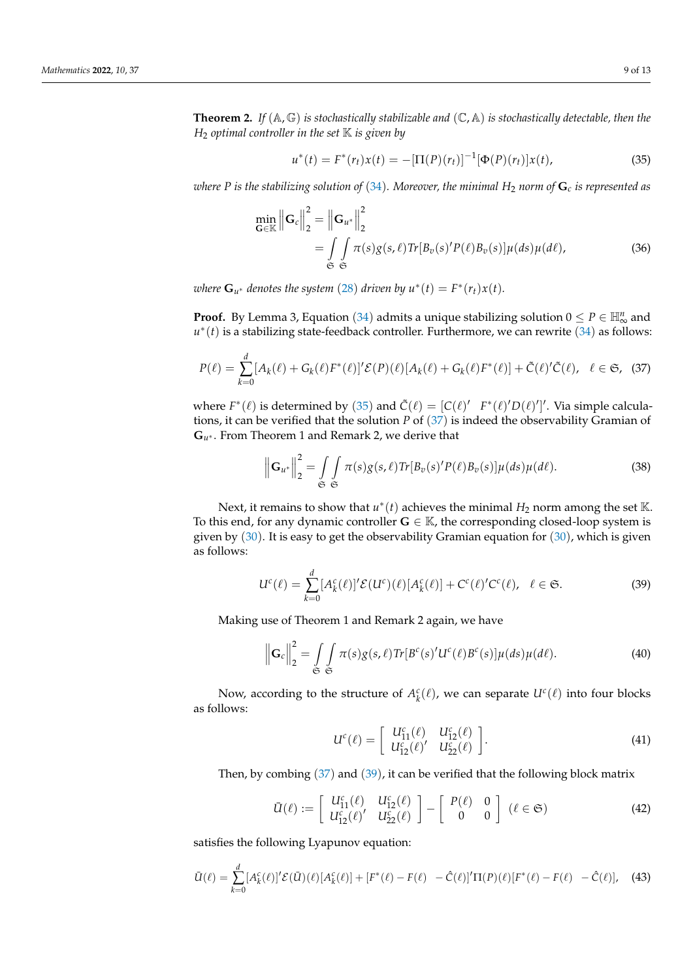**Theorem 2.** *If* (A, G) *is stochastically stabilizable and* (C, A) *is stochastically detectable, then the <sup>H</sup>*<sup>2</sup> *optimal controller in the set* K *is given by*

<span id="page-8-0"></span>
$$
u^*(t) = F^*(r_t)x(t) = -[\Pi(P)(r_t)]^{-1}[\Phi(P)(r_t)]x(t), \qquad (35)
$$

*where P* is the stabilizing solution of ([34](#page-7-2)). Moreover, the minimal  $H_2$  norm of  $G_c$  is represented as

$$
\min_{\mathbf{G} \in \mathbb{K}} \left\| \mathbf{G}_c \right\|_2^2 = \left\| \mathbf{G}_{u^*} \right\|_2^2
$$
\n
$$
= \int_{\mathfrak{S}} \int_{\mathfrak{S}} \pi(s) g(s, \ell) \text{Tr} [B_v(s)' P(\ell) B_v(s)] \mu(ds) \mu(d\ell), \tag{36}
$$

*where*  $\mathbf{G}_{u^*}$  *denotes the system* ([28](#page-6-2)) *driven by*  $u^*(t) = F^*(r_t)x(t)$ *.* 

**Proof.** By Lemma 3, Equation ([34](#page-7-2)) admits a unique stabilizing solution  $0 \le P \in \mathbb{H}_{\infty}^n$  and *u*<sup>\*</sup>(*t*) is a stabilizing state-feedback controller. Furthermore, we can rewrite ([34](#page-7-2)) as follows:

<span id="page-8-1"></span>
$$
P(\ell) = \sum_{k=0}^{d} [A_k(\ell) + G_k(\ell)F^*(\ell)]'\mathcal{E}(P)(\ell)[A_k(\ell) + G_k(\ell)F^*(\ell)] + \tilde{C}(\ell)'\tilde{C}(\ell), \quad \ell \in \mathfrak{S}, \tag{37}
$$

where  $F^*(\ell)$  is determined by ([35](#page-8-0)) and  $\tilde{C}(\ell) = [C(\ell)^\prime \ F^*(\ell)^\prime D(\ell)^\prime]^\prime$ . Via simple calculations, it can be verified that the solution *P* of ([37](#page-8-1)) is indeed the observability Gramian of **G***<sup>u</sup>* <sup>∗</sup> . From Theorem 1 and Remark 2, we derive that

$$
\left\| \mathbf{G}_{u^*} \right\|_2^2 = \int\limits_{\mathfrak{S}} \int\limits_{\mathfrak{S}} \pi(s) g(s, \ell) \text{Tr} \left[ B_v(s)' P(\ell) B_v(s) \right] \mu(ds) \mu(d\ell).
$$
 (38)

Next, it remains to show that  $u^*(t)$  achieves the minimal  $H_2$  norm among the set K. To this end, for any dynamic controller  $G \in \mathbb{K}$ , the corresponding closed-loop system is given by  $(30)$  $(30)$  $(30)$ . It is easy to get the observability Gramian equation for  $(30)$ , which is given as follows:

<span id="page-8-2"></span>
$$
U^c(\ell) = \sum_{k=0}^d [A_k^c(\ell)]' \mathcal{E}(U^c)(\ell) [A_k^c(\ell)] + C^c(\ell)' C^c(\ell), \quad \ell \in \mathfrak{S}.
$$
 (39)

Making use of Theorem 1 and Remark 2 again, we have

<span id="page-8-4"></span>
$$
\left\| \mathbf{G}_c \right\|_2^2 = \int\limits_{\mathfrak{S}} \int\limits_{\mathfrak{S}} \pi(s) g(s, \ell) \text{Tr} \left[ B^c(s)' U^c(\ell) B^c(s) \right] \mu(ds) \mu(d\ell). \tag{40}
$$

Now, according to the structure of  $A_k^c(\ell)$ , we can separate  $U^c(\ell)$  into four blocks as follows:

$$
U^{c}(\ell) = \left[ \begin{array}{cc} U_{11}^{c}(\ell) & U_{12}^{c}(\ell) \\ U_{12}^{c}(\ell)' & U_{22}^{c}(\ell) \end{array} \right].
$$
 (41)

Then, by combing  $(37)$  $(37)$  $(37)$  and  $(39)$  $(39)$  $(39)$ , it can be verified that the following block matrix

<span id="page-8-5"></span>
$$
\bar{U}(\ell) := \left[ \begin{array}{cc} U_{11}^c(\ell) & U_{12}^c(\ell) \\ U_{12}^c(\ell)' & U_{22}^c(\ell) \end{array} \right] - \left[ \begin{array}{cc} P(\ell) & 0 \\ 0 & 0 \end{array} \right] (\ell \in \mathfrak{S}) \tag{42}
$$

satisfies the following Lyapunov equation:

<span id="page-8-3"></span>
$$
\bar{U}(\ell) = \sum_{k=0}^{d} [A_k^c(\ell)]' \mathcal{E}(\bar{U})(\ell) [A_k^c(\ell)] + [F^*(\ell) - F(\ell) - \hat{C}(\ell)]' \Pi(P)(\ell) [F^*(\ell) - F(\ell) - \hat{C}(\ell)], \quad (43)
$$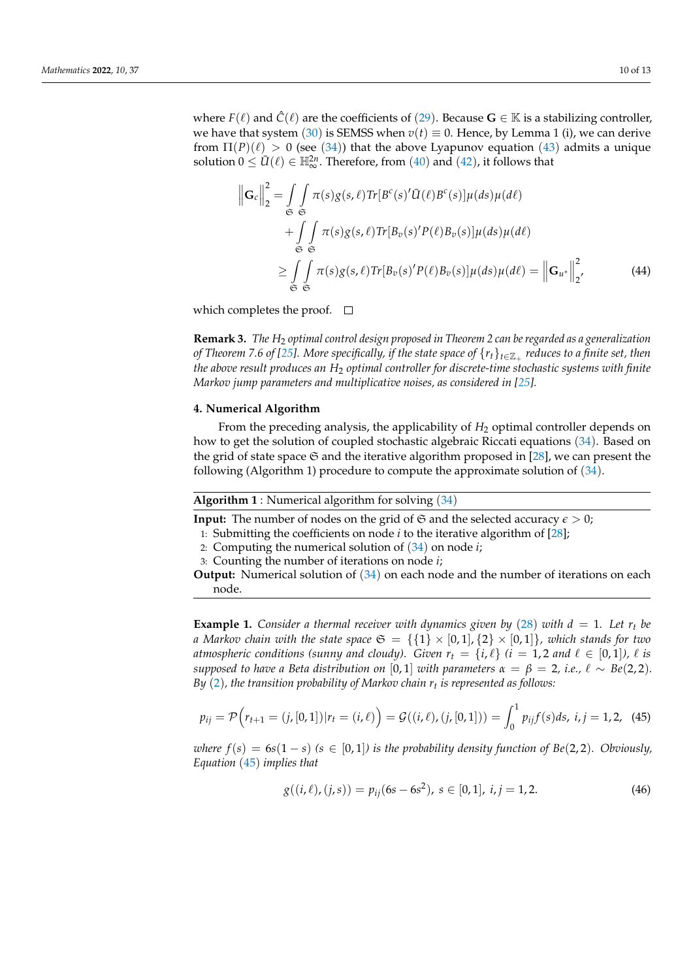where  $F(\ell)$  and  $\hat{C}(\ell)$  are the coefficients of ([29](#page-6-1)). Because  $\mathbf{G} \in \mathbb{K}$  is a stabilizing controller, we have that system ([30](#page-7-0)) is SEMSS when  $v(t) \equiv 0$ . Hence, by Lemma 1 (i), we can derive from  $\Pi(P)(\ell) > 0$  (see ([34](#page-7-2))) that the above Lyapunov equation ([43](#page-8-3)) admits a unique solution  $0 \le \overline{U}(\ell) \in \mathbb{H}_{\infty}^{2n}$ . Therefore, from ([40](#page-8-4)) and ([42](#page-8-5)), it follows that

$$
\left\| \mathbf{G}_c \right\|_2^2 = \int\limits_{\mathfrak{S}} \int\limits_{\mathfrak{S}} \pi(s) g(s, \ell) \text{Tr} \left[ B^c(s)' \bar{U}(\ell) B^c(s) \right] \mu(ds) \mu(d\ell)
$$
  
+ 
$$
\int\limits_{\mathfrak{S}} \int\limits_{\mathfrak{S}} \pi(s) g(s, \ell) \text{Tr} \left[ B_v(s)' P(\ell) B_v(s) \right] \mu(ds) \mu(d\ell)
$$
  

$$
\geq \int\limits_{\mathfrak{S}} \int\limits_{\mathfrak{S}} \pi(s) g(s, \ell) \text{Tr} \left[ B_v(s)' P(\ell) B_v(s) \right] \mu(ds) \mu(d\ell) = \left\| \mathbf{G}_{u^*} \right\|_2^2,
$$
 (44)

which completes the proof.  $\square$ 

**Remark 3.** *The H*<sup>2</sup> *optimal control design proposed in Theorem 2 can be regarded as a generalization of Theorem 7.6 of [\[25\]](#page-12-22). More specifically, if the state space of* {*rt*}*t*∈Z<sup>+</sup> *reduces to a finite set, then the above result produces an*  $H_2$  *optimal controller for discrete-time stochastic systems with finite Markov jump parameters and multiplicative noises, as considered in [\[25\]](#page-12-22).* 

#### <span id="page-9-0"></span>**4. Numerical Algorithm**

From the preceding analysis, the applicability of  $H_2$  optimal controller depends on how to get the solution of coupled stochastic algebraic Riccati equations ([34](#page-7-2)). Based on the grid of state space  $\mathfrak S$  and the iterative algorithm proposed in [\[28\]](#page-12-25), we can present the following (Algorithm 1) procedure to compute the approximate solution of ([34](#page-7-2)).

## **Algorithm 1** : Numerical algorithm for solving ([34](#page-7-2))

**Input:** The number of nodes on the grid of  $\mathfrak{S}$  and the selected accuracy  $\epsilon > 0$ ;

- 1: Submitting the coefficients on node *i* to the iterative algorithm of [\[28\]](#page-12-25);
- 2: Computing the numerical solution of ([34](#page-7-2)) on node *i*;
- 3: Counting the number of iterations on node *i*;

**Output:** Numerical solution of ([34](#page-7-2)) on each node and the number of iterations on each node.

**Example 1.** *Consider a thermal receiver with dynamics given by* ([28](#page-6-2)) *with*  $d = 1$ *. Let*  $r_t$  *be a Markov chain with the state space*  $\mathfrak{S} = \{ \{1\} \times [0,1], \{2\} \times [0,1] \}$ *, which stands for two atmospheric conditions (sunny and cloudy). Given*  $r_t = \{i, \ell\}$  *(i = 1, 2 and*  $\ell \in [0, 1]$ *),*  $\ell$  *is supposed to have a Beta distribution on* [0,1] *with parameters*  $\alpha = \beta = 2$ , *i.e.*,  $\ell \sim Be(2, 2)$ *. By* ([2](#page-2-3))*, the transition probability of Markov chain r<sup>t</sup> is represented as follows:*

<span id="page-9-1"></span>
$$
p_{ij} = \mathcal{P}\Big(r_{t+1} = (j, [0, 1]) | r_t = (i, \ell)\Big) = \mathcal{G}((i, \ell), (j, [0, 1])) = \int_0^1 p_{ij} f(s) ds, \ i, j = 1, 2, \ (45)
$$

*where*  $f(s) = 6s(1-s)$   $(s \in [0,1])$  *is the probability density function of*  $Be(2,2)$ *. Obviously, Equation* ([45](#page-9-1)) *implies that*

$$
g((i,\ell), (j,s)) = p_{ij}(6s - 6s^2), \ s \in [0,1], \ i, j = 1,2. \tag{46}
$$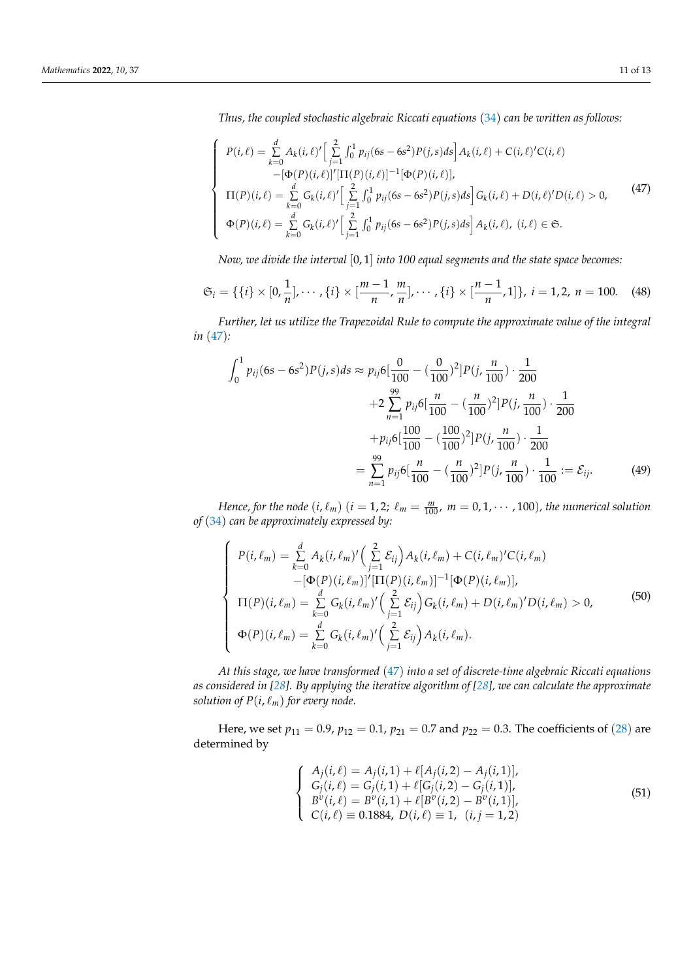*Thus, the coupled stochastic algebraic Riccati equations* ([34](#page-7-2)) *can be written as follows:*

<span id="page-10-0"></span>
$$
\begin{cases}\nP(i,\ell) = \sum_{k=0}^{d} A_k(i,\ell)' \Big[ \sum_{j=1}^{2} \int_0^1 p_{ij} (6s - 6s^2) P(j,s) ds \Big] A_k(i,\ell) + C(i,\ell)' C(i,\ell) \\
-\big[\Phi(P)(i,\ell)\big]' [\Pi(P)(i,\ell)]^{-1} [\Phi(P)(i,\ell)], \\
\Pi(P)(i,\ell) = \sum_{k=0}^{d} G_k(i,\ell)' \Big[ \sum_{j=1}^{2} \int_0^1 p_{ij} (6s - 6s^2) P(j,s) ds \Big] G_k(i,\ell) + D(i,\ell)' D(i,\ell) > 0, \\
\Phi(P)(i,\ell) = \sum_{k=0}^{d} G_k(i,\ell)' \Big[ \sum_{j=1}^{2} \int_0^1 p_{ij} (6s - 6s^2) P(j,s) ds \Big] A_k(i,\ell), \ (i,\ell) \in \mathfrak{S}.\n\end{cases}
$$
\n(47)

*Now, we divide the interval* [0, 1] *into 100 equal segments and the state space becomes:*

$$
\mathfrak{S}_i = \{ \{i\} \times [0, \frac{1}{n}], \cdots, \{i\} \times [\frac{m-1}{n}, \frac{m}{n}], \cdots, \{i\} \times [\frac{n-1}{n}, 1] \}, i = 1, 2, n = 100.
$$
 (48)

*Further, let us utilize the Trapezoidal Rule to compute the approximate value of the integral in* ([47](#page-10-0))*:*

$$
\int_{0}^{1} p_{ij}(6s - 6s^{2})P(j, s)ds \approx p_{ij}6[\frac{0}{100} - (\frac{0}{100})^{2}]P(j, \frac{n}{100}) \cdot \frac{1}{200}
$$
  
+2
$$
\sum_{n=1}^{99} p_{ij}6[\frac{n}{100} - (\frac{n}{100})^{2}]P(j, \frac{n}{100}) \cdot \frac{1}{200}
$$
  
+
$$
+ p_{ij}6[\frac{100}{100} - (\frac{100}{100})^{2}]P(j, \frac{n}{100}) \cdot \frac{1}{200}
$$
  
=
$$
\sum_{n=1}^{99} p_{ij}6[\frac{n}{100} - (\frac{n}{100})^{2}]P(j, \frac{n}{100}) \cdot \frac{1}{100} := \mathcal{E}_{ij}.
$$
 (49)

*Hence, for the node*  $(i, \ell_m)$   $(i = 1, 2; \ell_m = \frac{m}{100}$ ,  $m = 0, 1, \cdots, 100)$ , the numerical solution *of* ([34](#page-7-2)) *can be approximately expressed by:*

$$
\begin{cases}\nP(i,\ell_m) = \sum_{k=0}^{d} A_k(i,\ell_m)' \left(\sum_{j=1}^{2} \mathcal{E}_{ij}\right) A_k(i,\ell_m) + C(i,\ell_m)' C(i,\ell_m) \\
-\left[\Phi(P)(i,\ell_m)\right]' \left[\Pi(P)(i,\ell_m)\right]^{-1} \left[\Phi(P)(i,\ell_m)\right], \\
\Pi(P)(i,\ell_m) = \sum_{k=0}^{d} G_k(i,\ell_m)' \left(\sum_{j=1}^{2} \mathcal{E}_{ij}\right) G_k(i,\ell_m) + D(i,\ell_m)' D(i,\ell_m) > 0, \\
\Phi(P)(i,\ell_m) = \sum_{k=0}^{d} G_k(i,\ell_m)' \left(\sum_{j=1}^{2} \mathcal{E}_{ij}\right) A_k(i,\ell_m).\n\end{cases}
$$
\n(50)

*At this stage, we have transformed* ([47](#page-10-0)) *into a set of discrete-time algebraic Riccati equations as considered in [\[28\]](#page-12-25). By applying the iterative algorithm of [\[28\]](#page-12-25), we can calculate the approximate solution of*  $P(i, \ell_m)$  *for every node.* 

Here, we set  $p_{11} = 0.9$ ,  $p_{12} = 0.1$ ,  $p_{21} = 0.7$  and  $p_{22} = 0.3$ . The coefficients of ([28](#page-6-2)) are determined by

$$
\begin{cases}\nA_j(i,\ell) = A_j(i,1) + \ell[A_j(i,2) - A_j(i,1)], \\
G_j(i,\ell) = G_j(i,1) + \ell[G_j(i,2) - G_j(i,1)], \\
B^v(i,\ell) = B^v(i,1) + \ell[B^v(i,2) - B^v(i,1)], \\
C(i,\ell) = 0.1884, D(i,\ell) = 1, (i,j = 1,2)\n\end{cases}
$$
\n(51)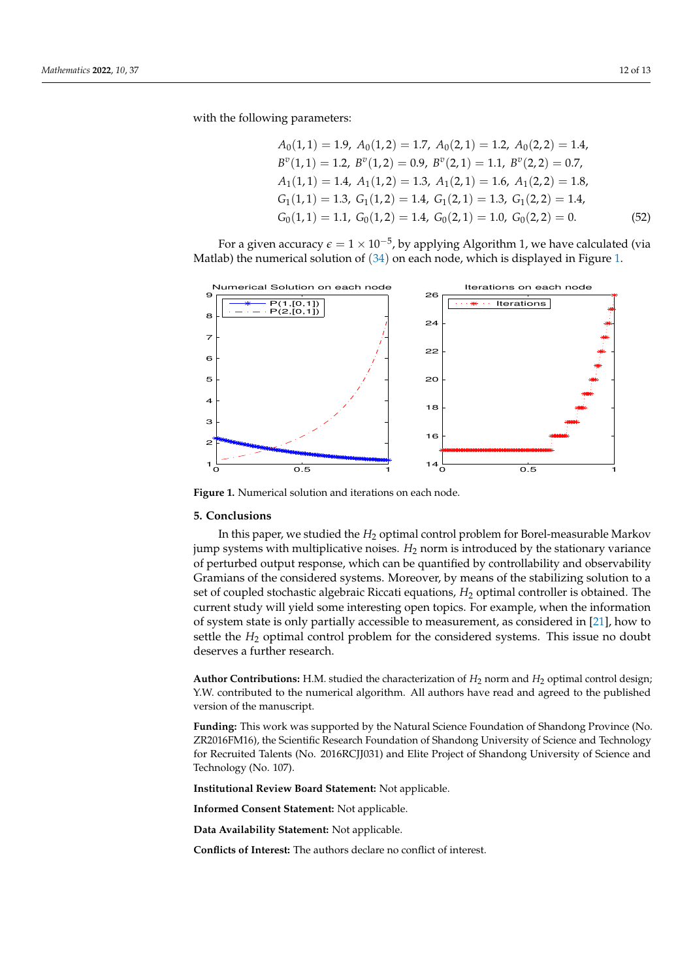with the following parameters:

$$
A_0(1,1) = 1.9, A_0(1,2) = 1.7, A_0(2,1) = 1.2, A_0(2,2) = 1.4,
$$
  
\n
$$
B^v(1,1) = 1.2, B^v(1,2) = 0.9, B^v(2,1) = 1.1, B^v(2,2) = 0.7,
$$
  
\n
$$
A_1(1,1) = 1.4, A_1(1,2) = 1.3, A_1(2,1) = 1.6, A_1(2,2) = 1.8,
$$
  
\n
$$
G_1(1,1) = 1.3, G_1(1,2) = 1.4, G_1(2,1) = 1.3, G_1(2,2) = 1.4,
$$
  
\n
$$
G_0(1,1) = 1.1, G_0(1,2) = 1.4, G_0(2,1) = 1.0, G_0(2,2) = 0.
$$
 (52)

For a given accuracy  $\epsilon = 1 \times 10^{-5}$ , by applying Algorithm 1, we have calculated (via Matlab) the numerical solution of ([34](#page-7-2)) on each node, which is displayed in Figure [1.](#page-11-1)

<span id="page-11-1"></span>

**Figure 1.** Numerical solution and iterations on each node.

### <span id="page-11-0"></span>**5. Conclusions**

In this paper, we studied the *H*<sub>2</sub> optimal control problem for Borel-measurable Markov jump systems with multiplicative noises. *H*<sup>2</sup> norm is introduced by the stationary variance of perturbed output response, which can be quantified by controllability and observability Gramians of the considered systems. Moreover, by means of the stabilizing solution to a set of coupled stochastic algebraic Riccati equations, *H*<sup>2</sup> optimal controller is obtained. The current study will yield some interesting open topics. For example, when the information of system state is only partially accessible to measurement, as considered in [\[21\]](#page-12-18), how to settle the *H*<sup>2</sup> optimal control problem for the considered systems. This issue no doubt deserves a further research.

**Author Contributions:** H.M. studied the characterization of *H*<sup>2</sup> norm and *H*<sup>2</sup> optimal control design; Y.W. contributed to the numerical algorithm. All authors have read and agreed to the published version of the manuscript.

**Funding:** This work was supported by the Natural Science Foundation of Shandong Province (No. ZR2016FM16), the Scientific Research Foundation of Shandong University of Science and Technology for Recruited Talents (No. 2016RCJJ031) and Elite Project of Shandong University of Science and Technology (No. 107).

**Institutional Review Board Statement:** Not applicable.

**Informed Consent Statement:** Not applicable.

**Data Availability Statement:** Not applicable.

**Conflicts of Interest:** The authors declare no conflict of interest.